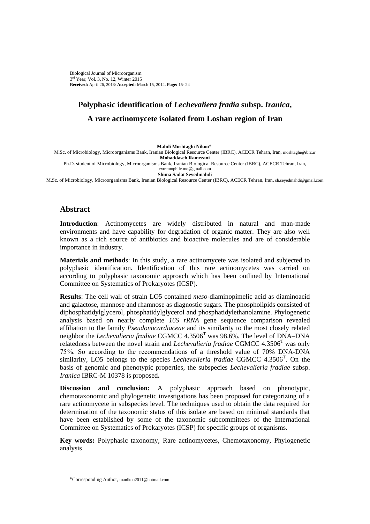Biological Journal of Microorganism 3<sup>rd</sup> Year, Vol. 3, No. 12, Winter 2015 **Received:** April 26, 2013/ **Accepted:** March 15, 2014. **Page:** 15- 24

# **Polyphasic identification of** *Lechevaliera fradia* **subsp.** *Iranica***, A rare actinomycete isolated from Loshan region of Iran**

**Mahdi Moshtaghi Nikou\***

M.Sc. of Microbiology, Microorganisms Bank, Iranian Biological Resource Center (IBRC), ACECR Tehran, Iran, moshtaghi@ibrc.ir **Mohaddaseh Ramezani** Ph.D. student of Microbiology, Microorganisms Bank, Iranian Biological Resource Center (IBRC), ACECR Tehran, Iran,

extremophile.mo@gmail.com **Shima Sadat Seyedmahdi**

M.Sc. of Microbiology, Microorganisms Bank, Iranian Biological Resource Center (IBRC), ACECR Tehran, Iran, sh.seyedmahdi@gmail.com

# **Abstract**

**Introduction**: Actinomycetes are widely distributed in natural and man-made environments and have capability for degradation of organic matter. They are also well known as a rich source of antibiotics and bioactive molecules and are of considerable importance in industry.

**Materials and method**s: In this study, a rare actinomycete was isolated and subjected to polyphasic identification. Identification of this rare actinomycetes was carried on according to polyphasic taxonomic approach which has been outlined by [International](http://www.the-icsp.org/)  [Committee on Systematics of Prokaryotes](http://www.the-icsp.org/) (ICSP).

**Results**: The cell wall of strain LO5 contained *meso*-diaminopimelic acid as diaminoacid and galactose, mannose and rhamnose as diagnostic sugars. The phospholipids consisted of diphosphatidylglycerol, phosphatidylglycerol and phosphatidylethanolamine. Phylogenetic analysis based on nearly complete *16S rRNA* gene sequence comparison revealed affiliation to the family *Pseudonocardiaceae* and its similarity to the most closely related neighbor the *Lechevalieria fradiae* CGMCC 4.3506<sup>T</sup> was 98.6%. The level of DNA–DNA relatedness between the novel strain and *Lechevalieria fradiae* CGMCC 4.3506<sup>T</sup> was only 75 %. So according to the recommendations of a threshold value of 70% DNA-DNA similarity, LO5 belongs to the species *Lechevalieria fradiae* CGMCC 4.3506<sup>T</sup>. On the basis of genomic and phenotypic properties, the subspecies *Lechevalieria fradiae* subsp. *Iranica* IBRC-M 10378 is proposed**.**

**Discussion and conclusion:** A polyphasic approach based on phenotypic, chemotaxonomic and phylogenetic investigations has been proposed for categorizing of a rare actinomycete in subspecies level. The techniques used to obtain the data required for determination of the taxonomic status of this isolate are based on minimal standards that have been established by some of the taxonomic subcommittees of the International Committee on Systematics of Prokaryotes (ICSP) for specific groups of organisms.

**Key words:** Polyphasic taxonomy, Rare actinomycetes, Chemotaxonomy, Phylogenetic analysis

<sup>\*</sup>Corresponding Author, manikou2011@hotmail.com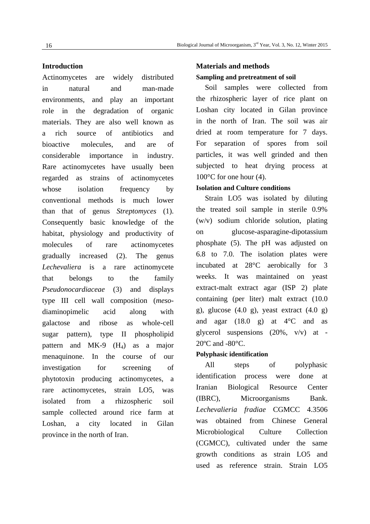#### **Introduction**

Actinomycetes are widely distributed in natural and man-made environments, and play an important role in the degradation of organic materials. They are also well known as a rich source of antibiotics and bioactive molecules, and are of considerable importance in industry. Rare actinomycetes have usually been regarded as strains of actinomycetes whose isolation frequency by conventional methods is much lower than that of genus *Streptomyces* (1). Consequently basic knowledge of the habitat, physiology and productivity of molecules of rare actinomycetes gradually increased (2). The genus *Lechevaliera* is a rare actinomycete that belongs to the family *Pseudonocardiaceae* (3) and displays type III cell wall composition (*meso*diaminopimelic acid along with galactose and ribose as whole-cell sugar pattern), type II phospholipid pattern and MK-9  $(H_4)$  as a major menaquinone. In the course of our investigation for screening of phytotoxin producing actinomycetes, a rare actinomycetes, strain LO5, was isolated from a rhizospheric soil sample collected around rice farm at Loshan, a city located in Gilan province in the north of Iran.

# **Materials and methods Sampling and pretreatment of soil**

Soil samples were collected from the rhizospheric layer of rice plant on Loshan city located in Gilan province in the north of Iran. The soil was air dried at room temperature for 7 days. For separation of spores from soil particles, it was well grinded and then subjected to heat drying process at  $100^{\circ}$ C for one hour (4).

### **Isolation and Culture conditions**

Strain LO5 was isolated by diluting the treated soil sample in sterile 0.9% (w/v) sodium chloride solution, plating on glucose-asparagine-dipotassium phosphate (5). The pH was adjusted on 6.8 to 7.0. The isolation plates were incubated at 28°C aerobically for 3 weeks. It was maintained on yeast extract-malt extract agar (ISP 2) plate containing (per liter) malt extract (10.0 g), glucose  $(4.0 \text{ g})$ , yeast extract  $(4.0 \text{ g})$ and agar  $(18.0 \text{ g})$  at  $4^{\circ}\text{C}$  and as glycerol suspensions (20%, v/v) at - 20ºC and -80°C.

#### **Polyphasic identification**

All steps of polyphasic identification process were done at Iranian Biological Resource Center (IBRC), Microorganisms Bank. *Lechevalieria fradiae* CGMCC 4.3506 was obtained from Chinese General Microbiological Culture Collection (CGMCC), cultivated under the same growth conditions as strain LO5 and used as reference strain. Strain LO5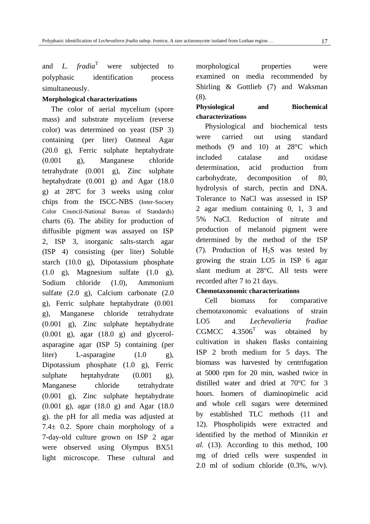and *L. fradia*<sup>T</sup> were subjected to polyphasic identification process simultaneously.

#### **Morphological characterizations**

The color of aerial mycelium (spore mass) and substrate mycelium (reverse color) was determined on yeast (ISP 3) containing (per liter) Oatmeal Agar (20.0 g), Ferric sulphate heptahydrate (0.001 g), Manganese chloride tetrahydrate (0.001 g), Zinc sulphate heptahydrate (0.001 g) and Agar (18.0 g) at 28ºC for 3 weeks using color chips from the ISCC-NBS [\(Inter-Society](http://en.wikipedia.org/w/index.php?title=Inter-Society_Color_Council&action=edit&redlink=1)  [Color Council](http://en.wikipedia.org/w/index.php?title=Inter-Society_Color_Council&action=edit&redlink=1)[-National Bureau of Standards\)](http://www.amazon.com/s/ref=ntt_athr_dp_sr_1?ie=UTF8&field-author=National+Bureau+of+Standards&search-alias=books&text=National+Bureau+of+Standards&sort=relevancerank) charts (6). The ability for production of diffusible pigment was assayed on ISP 2, ISP 3, inorganic salts-starch agar (ISP 4) consisting (per liter) Soluble starch (10.0 g), Dipotassium phosphate  $(1.0 \text{ g})$ , Magnesium sulfate  $(1.0 \text{ g})$ , Sodium chloride (1.0), Ammonium sulfate (2.0 g), Calcium carbonate (2.0 g), Ferric sulphate heptahydrate (0.001 g), Manganese chloride tetrahydrate (0.001 g), Zinc sulphate heptahydrate  $(0.001 \text{ g})$ , agar  $(18.0 \text{ g})$  and glycerolasparagine agar (ISP 5) containing (per liter) L-asparagine (1.0 g), Dipotassium phosphate (1.0 g), Ferric sulphate heptahydrate  $(0.001 \text{ g})$ , Manganese chloride tetrahydrate (0.001 g), Zinc sulphate heptahydrate (0.001 g), agar (18.0 g) and Agar (18.0 g). the pH for all media was adjusted at 7.4 $\pm$  0.2. Spore chain morphology of a 7-day-old culture grown on ISP 2 agar were observed using Olympus BX51 light microscope. These cultural and

morphological properties were examined on media recommended by Shirling & Gottlieb (7) and Waksman (8).

# **Physiological and Biochemical characterizations**

Physiological and biochemical tests were carried out using standard methods (9 and 10) at 28°C which included catalase and oxidase determination, acid production from carbohydrate, decomposition of 80, hydrolysis of starch, pectin and DNA. Tolerance to NaCl was assessed in ISP 2 agar medium containing 0, 1, 3 and 5% NaCl. Reduction of nitrate and production of melanoid pigment were determined by the method of the ISP (7). Production of  $H_2S$  was tested by growing the strain LO5 in ISP 6 agar slant medium at 28°C. All tests were recorded after 7 to 21 days.

## **Chemotaxonomic characterizations**

Cell biomass for comparative chemotaxonomic evaluations of strain LO5 and *Lechevalieria fradiae* CGMCC  $4.3506<sup>T</sup>$  was obtained by cultivation in shaken flasks containing ISP 2 broth medium for 5 days. The biomass was harvested by centrifugation at 5000 rpm for 20 min, washed twice in distilled water and dried at 70°C for 3 hours. Isomers of diaminopimelic acid and whole cell sugars were determined by established TLC methods (11 and 12). Phospholipids were extracted and identified by the method of Minnikin *et al.* (13). According to this method, 100 mg of dried cells were suspended in 2.0 ml of sodium chloride (0.3%, w/v).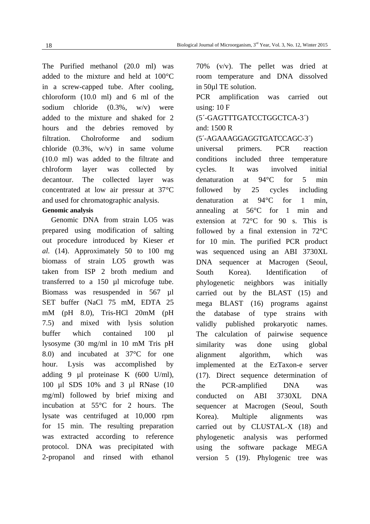The Purified methanol (20.0 ml) was added to the mixture and held at 100°C in a screw-capped tube. After cooling, chloroform (10.0 ml) and 6 ml of the sodium chloride (0.3%, w/v) were added to the mixture and shaked for 2 hours and the debries removed by filtration. Cholroforme and sodium chloride (0.3%, w/v) in same volume (10.0 ml) was added to the filtrate and chlroform layer was collected by decantour. The collected layer was concentrated at low air pressur at 37°C and used for chromatographic analysis.

## **Genomic analysis**

Genomic DNA from strain LO5 was prepared using modification of salting out procedure introduced by Kieser *et al.* (14). Approximately 50 to 100 mg biomass of strain LO5 growth was taken from ISP 2 broth medium and transferred to a 150 µl microfuge tube. Biomass was resuspended in 567 µl SET buffer (NaCl 75 mM, EDTA 25 mM (pH 8.0), Tris-HCl 20mM (pH 7.5) and mixed with lysis solution buffer which contained 100 ul lysosyme (30 mg/ml in 10 mM Tris pH 8.0) and incubated at 37°C for one hour. Lysis was accomplished by adding 9 µl proteinase K (600 U/ml), 100 µl SDS 10% and 3 µl RNase (10 mg/ml) followed by brief mixing and incubation at 55°C for 2 hours. The lysate was centrifuged at 10,000 rpm for 15 min. The resulting preparation was extracted according to reference protocol. DNA was precipitated with 2-propanol and rinsed with ethanol

70% (v/v). The pellet was dried at room temperature and DNA dissolved in 50µl TE solution.

PCR amplification was carried out using: 10 F

# (5´-GAGTTTGATCCTGGCTCA-3´) and: 1500 R

(5´-AGAAAGGAGGTGATCCAGC-3´)

universal primers. PCR reaction conditions included three temperature cycles. It was involved initial denaturation at 94°C for 5 min followed by 25 cycles including denaturation at 94°C for 1 min, annealing at 56°C for 1 min and extension at 72°C for 90 s. This is followed by a final extension in 72°C for 10 min. The purified PCR product was sequenced using an ABI 3730XL DNA sequencer at Macrogen (Seoul, South Korea). Identification of phylogenetic neighbors was initially carried out by the BLAST (15) and mega BLAST (16) programs against the database of type strains with validly published prokaryotic names. The calculation of pairwise sequence similarity was done using global alignment algorithm, which was implemented at the EzTaxon-e server (17). Direct sequence determination of the PCR-amplified DNA was conducted on ABI 3730XL DNA sequencer at Macrogen (Seoul, South Korea). Multiple alignments was carried out by CLUSTAL-X (18) and phylogenetic analysis was performed using the software package MEGA version 5 (19). Phylogenic tree was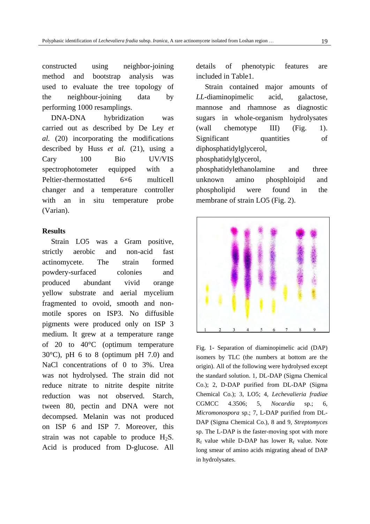constructed using neighbor-joining method and bootstrap analysis was used to evaluate the tree topology of the neighbour-joining data by performing 1000 resamplings.

DNA-DNA hybridization was carried out as described by De Ley *et al.* (20) incorporating the modifications described by Huss *et al.* (21), using a Cary 100 Bio UV/VIS spectrophotometer equipped with a Peltier-thermostatted 6×6 multicell changer and a temperature controller with an in situ temperature probe (Varian).

### **Results**

Strain LO5 was a Gram positive, strictly aerobic and non-acid fast actinomycete. The strain formed powdery-surfaced colonies and produced abundant vivid orange yellow substrate and aerial mycelium fragmented to ovoid, smooth and nonmotile spores on ISP3. No diffusible pigments were produced only on ISP 3 medium. It grew at a temperature range of 20 to 40°C (optimum temperature  $30^{\circ}$ C), pH 6 to 8 (optimum pH 7.0) and NaCl concentrations of 0 to 3%. Urea was not hydrolysed. The strain did not reduce nitrate to nitrite despite nitrite reduction was not observed. Starch, tween 80, pectin and DNA were not decompsed. Melanin was not produced on ISP 6 and ISP 7. Moreover, this strain was not capable to produce  $H_2S$ . Acid is produced from D-glucose. All

details of phenotypic features are included in Table1.

Strain contained major amounts of *LL*-diaminopimelic acid, galactose, mannose and rhamnose as diagnostic sugars in whole-organism hydrolysates (wall chemotype III) (Fig. 1). Significant quantities of diphosphatidylglycerol,

phosphatidylglycerol,

phosphatidylethanolamine and three unknown amino phosphloipid and phospholipid were found in the membrane of strain LO5 (Fig. 2).



Fig. 1- Separation of diaminopimelic acid (DAP) isomers by TLC (the numbers at bottom are the origin). All of the following were hydrolysed except the standard solution. 1, DL-DAP (Sigma Chemical Co.); 2, D-DAP purified from DL-DAP (Sigma Chemical Co.); 3, LO5; 4, *Lechevalieria fradiae*  CGMCC 4.3506; 5, *Nocardia* sp.; 6, *Micromonospora* sp.; 7, L-DAP purified from DL-DAP (Sigma Chemical Co.), 8 and 9, *Streptomyces* sp. The L-DAP is the faster-moving spot with more  $R_f$  value while D-DAP has lower  $R_f$  value. Note long smear of amino acids migrating ahead of DAP in hydrolysates.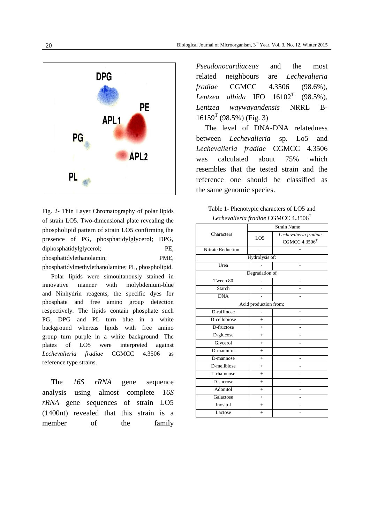

Fig. 2- Thin Layer Chromatography of polar lipids of strain LO5. Two-dimensional plate revealing the phospholipid pattern of strain LO5 confirming the presence of PG, phosphatidylglycerol; DPG, diphosphatidylglycerol; PE, phosphatidylethanolamin; PME, phosphatidylmethylethanolamine; PL, phospholipid.

Polar lipids were simoultanously stained in innovative manner with molybdenium-blue and Ninhydrin reagents, the specific dyes for phosphate and free amino group detection respectively. The lipids contain phosphate such PG, DPG and PL turn blue in a white background whereas lipids with free amino group turn purple in a white background. The plates of LO5 were interpreted against *Lechevalieria fradiae* CGMCC 4.3506 as reference type strains.

The *16S rRNA* gene sequence analysis using almost complete *16S rRNA* gene sequences of strain LO5 (1400nt) revealed that this strain is a member of the family

*[Pseudonocardiaceae](javascript:%20reloadBrowse()* and the most related neighbours are *Lechevalieria fradiae* CGMCC 4.3506 (98.6%), *Lentzea albida* IFO 16102<sup>T</sup> (98.5%), *Lentzea waywayandensis* NRRL B- $16159<sup>T</sup>$  (98.5%) (Fig. 3)

The level of DNA-DNA relatedness between *Lechevalieria* sp. Lo5 and *Lechevalieria fradiae* CGMCC 4.3506 was calculated about 75% which resembles that the tested strain and the reference one should be classified as the same genomic species.

| Table 1- Phenotypic characters of LO5 and       |
|-------------------------------------------------|
| Lechevalieria fradiae CGMCC 4.3506 <sup>T</sup> |

|                          | <b>Strain Name</b> |                       |  |
|--------------------------|--------------------|-----------------------|--|
| Characters               | LO <sub>5</sub>    | Lechevalieria fradiae |  |
|                          |                    | CGMCC $4.3506T$       |  |
| <b>Nitrate Reduction</b> |                    | $+$                   |  |
| Hydrolysis of:           |                    |                       |  |
| Urea                     |                    | $+$                   |  |
| Degradation of           |                    |                       |  |
| Tween 80                 | $\overline{a}$     | $\overline{a}$        |  |
| Starch                   |                    | $+$                   |  |
| <b>DNA</b>               |                    |                       |  |
| Acid production from:    |                    |                       |  |
| D-raffinose              |                    | $+$                   |  |
| D-cellobiose             | $+$                |                       |  |
| D-fructose               | $+$                |                       |  |
| D-glucose                | $+$                |                       |  |
| Glycerol                 | $+$                |                       |  |
| D-mannitol               | $+$                |                       |  |
| D-mannose                | $+$                |                       |  |
| D-melibiose              | $+$                |                       |  |
| L-rhamnose               | $+$                |                       |  |
| D-sucrose                | $+$                |                       |  |
| Adonitol                 | $+$                |                       |  |
| Galactose                | $+$                |                       |  |
| Inositol                 | $+$                |                       |  |
| Lactose                  | $\ddot{}$          |                       |  |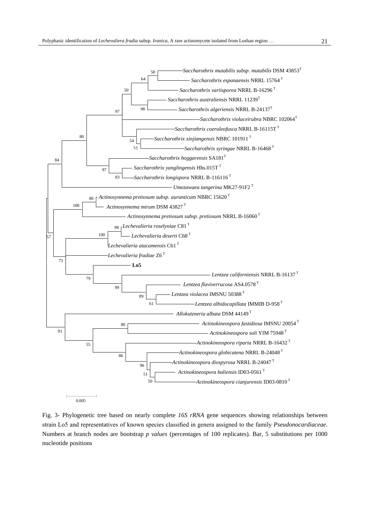

Fig. 3- Phylogenetic tree based on nearly complete *16S rRNA* gene sequences showing relationships between strain Lo5 and representatives of known species classified in genera assigned to the family *Pseudonocardiaceae*. Numbers at branch nodes are bootstrap *p values* (percentages of 100 replicates). Bar, 5 substitutions per 1000 nucleotide positions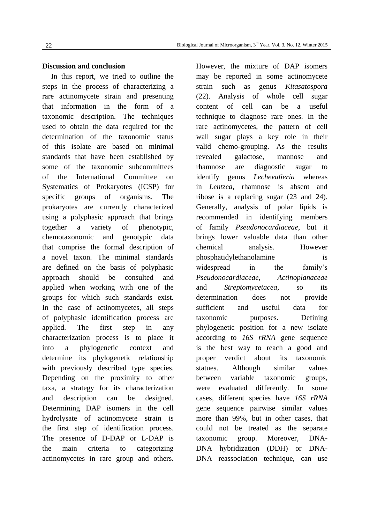## **Discussion and conclusion**

In this report, we tried to outline the steps in the process of characterizing a rare actinomycete strain and presenting that information in the form of a taxonomic description. The techniques used to obtain the data required for the determination of the taxonomic status of this isolate are based on minimal standards that have been established by some of the taxonomic subcommittees of the International Committee on Systematics of Prokaryotes (ICSP) for specific groups of organisms. The prokaryotes are currently characterized using a polyphasic approach that brings together a variety of phenotypic, chemotaxonomic and genotypic data that comprise the formal description of a novel taxon. The minimal standards are defined on the basis of polyphasic approach should be consulted and applied when working with one of the groups for which such standards exist. In the case of actinomycetes, all steps of polyphasic identification process are applied. The first step in any characterization process is to place it into a phylogenetic context and determine its phylogenetic relationship with previously described type species. Depending on the proximity to other taxa, a strategy for its characterization and description can be designed. Determining DAP isomers in the cell hydrolysate of actinomycete strain is the first step of identification process. The presence of D-DAP or L-DAP is the main criteria to categorizing actinomycetes in rare group and others.

However, the mixture of DAP isomers may be reported in some actinomycete strain such as genus *Kitasatospora* (22). Analysis of whole cell sugar content of cell can be a useful technique to diagnose rare ones. In the rare actinomycetes, the pattern of cell wall sugar plays a key role in their valid chemo-grouping. As the results revealed galactose, mannose and rhamnose are diagnostic sugar to identify genus *Lechevalieria* whereas in *Lentzea,* rhamnose is absent and ribose is a replacing sugar (23 and 24). Generally, analysis of polar lipids is recommended in identifying members of family *Pseudonocardiaceae*, but it brings lower valuable data than other chemical analysis. However phosphatidylethanolamine is widespread in the family's *Pseudonocardiaceae, Actinoplanaceae*  and *Streptomycetacea,* so its determination does not provide sufficient and useful data for taxonomic purposes. Defining phylogenetic position for a new isolate according to *16S rRNA* gene sequence is the best way to reach a good and proper verdict about its taxonomic statues. Although similar values between variable taxonomic groups, were evaluated differently. In some cases, different species have *16S rRNA* gene sequence pairwise similar values more than 99%, but in other cases, that could not be treated as the separate taxonomic group. Moreover, DNA-DNA hybridization (DDH) or DNA-DNA reassociation technique, can use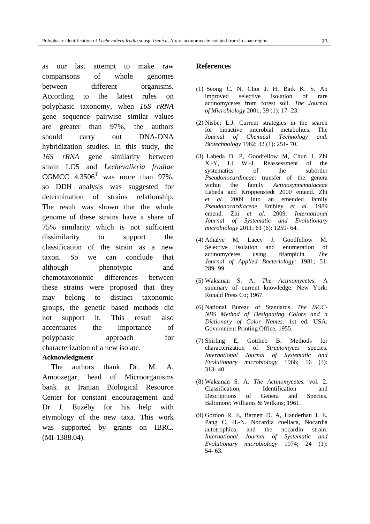as our last attempt to make raw comparisons of whole genomes between different organisms. According to the latest rules on polyphasic taxonomy, when *16S rRNA* gene sequence pairwise similar values are greater than 97%, the authors should carry out DNA-DNA hybridization studies. In this study, the *16S rRNA* gene similarity between strain LO5 and *Lechevalieria fradiae* CGMCC  $4.3506<sup>T</sup>$  was more than 97%, so DDH analysis was suggested for determination of strains relationship. The result was shown that the whole genome of these strains have a share of 75% similarity which is not sufficient dissimilarity to support the classification of the strain as a new taxon. So we can conclude that although phenotypic and chemotaxonomic differences between these strains were proposed that they may belong to distinct taxonomic groups, the genetic based methods did not support it. This result also accentuates the importance of polyphasic approach for characterization of a new isolate.

#### **Acknowledgment**

The authors thank Dr. M. A. Amoozegar, head of Microorganisms bank at Iranian Biological Resource Center for constant encouragement and Dr J. Euzéby for his help with etymology of the new taxa. This work was supported by grants on IBRC. (MI-1388.04).

#### **References**

- (1) Seong C. N, Choi J. H, Baik K. S. An improved selective isolation of rare actinomycetes from forest soil. *The Journal of Microbiology* 2001; 39 (1): 17- 23.
- (2) Nisbet L.J. Current strategies in the search for bioactive microbial metabolites. The *Journal of Chemical Technology and. Biotechnology* 1982; 32 (1): 251- 70.
- (3) Labeda D. P, Goodfellow M, Chun J, Zhi X.-Y, Li W.-J. Reassessment of the systematics of the suborder *Pseudonocardineae*: transfer of the genera within the family *Actinosynnemataceae*  Labeda and Kroppenstedt 2000 emend. Zhi *et al.* 2009 into an emended family *Pseudonocardiaceae* Embley *et al.* 1989 emend. Zhi *et al.* 2009. *International Journal of Systematic and Evolutionary microbiology* 2011; 61 (6): 1259- 64.
- (4) Athalye M, Lacey J, Goodfellow M. Selective isolation and enumeration of actinomycetes using rifampicin. *The Journal of Applied Bacteriology;* 1981; 51: 289- 99.
- (5) Waksman S. A. *The Actinomycetes.* A summary of current knowledge. New York: Ronald Press Co; 1967.
- (6) National Bureau of Standards. *The ISCC-NBS Method of Designating Colors and a Dictionary of Color Names*. 1st ed. USA: Government Printing Office; 1955.
- (7) Shirling E, Gottlieb B. Methods for characterization of *Streptomyces* species. *International Journal of Systematic and Evolutionary microbiology* 1966; 16 (3): 313- 40.
- (8) Waksman S. A. *The Actinomycetes.* vol. 2. Classification, Identification and Descriptions of Genera and Species. Baltimore: Williams & Wilkins; 1961.
- (9) Gordon R. E, Barnett D. A, Handerhan J. E, Pang C. H.-N. Nocardia coeliaca, Nocardia autotrophica, and the nocardin strain. *International Journal of Systematic and Evolutionary microbiology* 1974; 24 (1): 54- 63.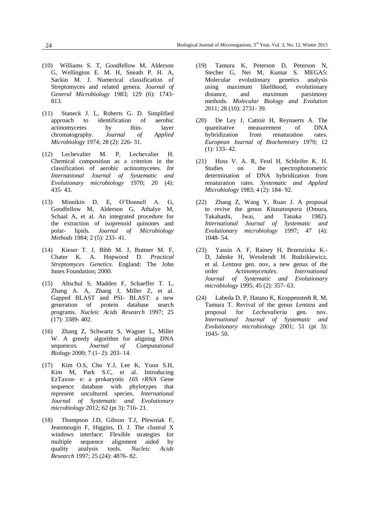- (10) Williams S. T, Goodfellow M, Alderson G, Wellington E. M. H, Sneath P. H. A, Sackin M. J. Numerical classification of Streptomyces and related genera. *Journal of General Microbiology* 1983; 129 (6): 1743- 813.
- (11) Staneck J. L, Roberts G. D. Simplified approach to identification of aerobic actinomycetes by thin- layer chromatography. *Journal of Applied Microbiology* 1974; 28 (2): 226- 31.
- (12) Lechevalier M. P, Lechevalier H. Chemical composition as a criterion in the classification of aerobic actinomycetes. *Int International Journal of Systematic and Evolutionary microbiology* 1970; 20 (4): 435- 43.
- (13) Minnikin D. E, O'Donnell A. G, Goodfellow M, Alderson G, Athalye M, Schaal A, et al. An integrated procedure for the extraction of isoprenoid quinones and polar- lipids. *Journal of Microbiology Methods* 1984; 2 (5): 233- 41.
- (14) Kieser T. J, Bibb M. J, Buttner M. F, Chater K. A. Hopwood D. *Practical Streptomyces Genetics*. England: The John Innes Foundation; 2000.
- (15) Altschul S, Madden F, Schaeffer T. L, Zhang A. A, Zhang J, Miller Z, et al. Gapped BLAST and PSI- BLAST: a new generation of protein database search programs. *Nucleic Acids Research* 1997; 25 (17): 3389- 402.
- (16) Zhang Z, Schwartz S, Wagner L, Miller W. A greedy algorithm for aligning DNA sequences. *Journal of Computational Biology* 2000; 7 (1- 2): 203- 14.
- (17) Kim O.S, Cho Y.J, Lee K, Yoon S.H, Kim M, Park S.C, et al. Introducing EzTaxon- e: a prokaryotic *16S rRNA* Gene sequence database with phylotypes that represent uncultured species. *International Journal of Systematic and Evolutionary microbiology* 2012; 62 (pt 3): 716- 21.
- (18) Thompson J.D, Gibson T.J, Plewniak F, Jeanmougin F, Higgins, D. J. The clustral X windows interface: Flexible strategies for multiple sequence alignment aided by quality analysis tools. *Nucleic Acids Research* 1997; 25 (24): 4876- 82.
- (19) Tamura K, Peterson D, Peterson N, Stecher G, Nei M, Kumar S. MEGA5: Molecular evolutionary genetics analysis using maximum likelihood, evolutionary distance, and maximum parsimony methods. *Molecular Biology and Evolution* 2011; 28 (10): 2731- 39.
- (20) De Ley J, Cattoir H, Reynaerts A. The quantitative measurement of DNA hybridization from renaturation rates. *European Journal of Biochemistry* 1970; 12 (1): 133- 42.
- (21) Huss V. A. R, Festl H, Schleifer K. H. Studies on the spectrophotometric determination of DNA hybridization from renaturation rates. *Systematic and Applied Microbiology* 1983; 4 (2): 184- 92.
- (22) Zhang Z, Wang Y, Ruan J. A proposal to revive the genus *Kitasatospora* (Omura, Takahashi, Iwai, and Tanaka 1982). *International Journal of Systematic and Evolutionary microbiology* 1997; 47 (4): 1048- 54.
- (23) Yassin A. F, Rainey H, Brzenzinka K.- D, Jahnke H, Wessbrodt H. Budzikiewicz, et al. *Lentzea* gen. nov, a new genus of the order *Actinomycetales*. *International Journal of Systematic and Evolutionary microbiology* 1995; 45 (2): 357- 63.
- (24) Labeda D. P, Hatano K, Kroppenstedt R. M, Tamura T. Revival of the genus *Lentzea* and proposal for *Lechevalieria* gen. nov. *International Journal of Systematic and Evolutionary microbiology* 2001; 51 (pt 3): 1045- 50.